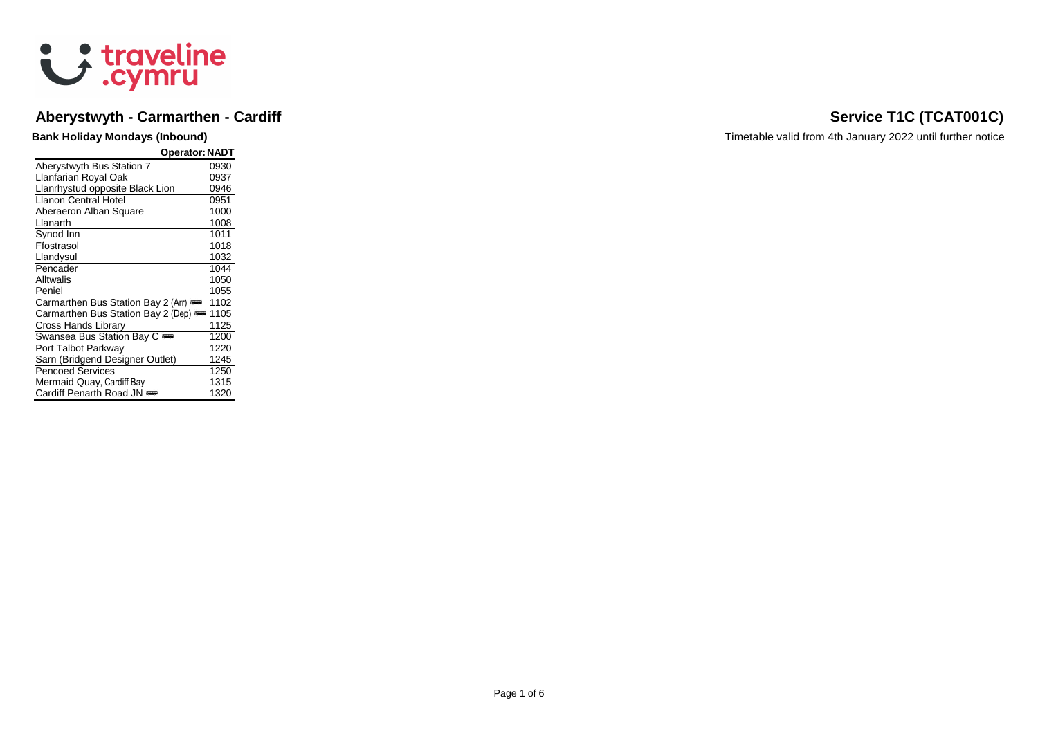

### **Aberystwyth - Carmarthen - Cardiff Service T1C (TCAT001C)**

| <b>Operator: NADT</b>              |      |
|------------------------------------|------|
| Aberystwyth Bus Station 7          | 0930 |
| Llanfarian Royal Oak               | 0937 |
| Llanrhystud opposite Black Lion    | 0946 |
| I Ianon Central Hotel              | 0951 |
| Aberaeron Alban Square             | 1000 |
| Llanarth                           | 1008 |
| Synod Inn                          | 1011 |
| Ffostrasol                         | 1018 |
| Llandysul                          | 1032 |
| Pencader                           | 1044 |
| Alltwalis                          | 1050 |
| Peniel                             | 1055 |
| Carmarthen Bus Station Bay 2 (Arr) | 1102 |
| Carmarthen Bus Station Bay 2 (Dep) | 1105 |
| Cross Hands Library                | 1125 |
| Swansea Bus Station Bay C          | 1200 |
| Port Talbot Parkway                | 1220 |
| Sarn (Bridgend Designer Outlet)    | 1245 |
| <b>Pencoed Services</b>            | 1250 |
| Mermaid Quay, Cardiff Bay          | 1315 |
| Cardiff Penarth Road JN            | 1320 |

**Bank Holiday Mondays (Inbound) Bank Holiday Mondays (Inbound) Timetable valid from 4th January 2022 until further notice**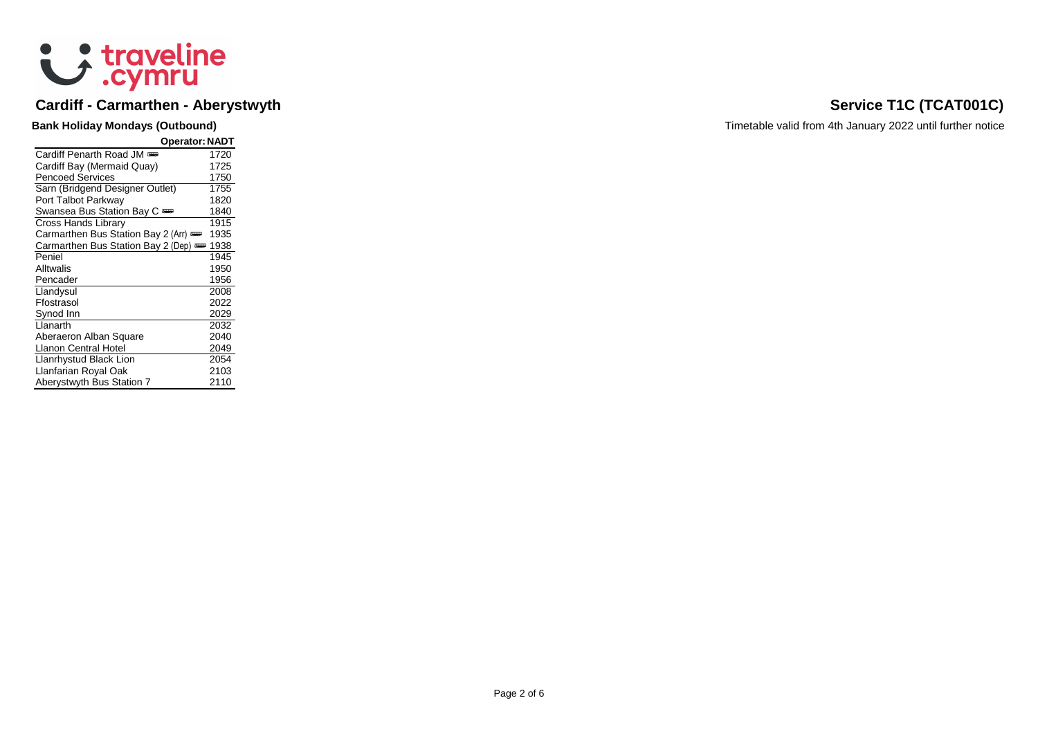

# **Cardiff - Carmarthen - Aberystwyth Service T1C (TCAT001C) Service T1C (TCAT001C)**

| <b>Operator: NADT</b>              |      |
|------------------------------------|------|
| Cardiff Penarth Road JM            | 1720 |
| Cardiff Bay (Mermaid Quay)         | 1725 |
| <b>Pencoed Services</b>            | 1750 |
| Sarn (Bridgend Designer Outlet)    | 1755 |
| Port Talbot Parkway                | 1820 |
| Swansea Bus Station Bay C          | 1840 |
| Cross Hands Library                | 1915 |
| Carmarthen Bus Station Bay 2 (Arr) | 1935 |
| Carmarthen Bus Station Bay 2 (Dep) | 1938 |
| Peniel                             | 1945 |
| Alltwalis                          | 1950 |
| Pencader                           | 1956 |
| Llandysul                          | 2008 |
| Ffostrasol                         | 2022 |
| Synod Inn                          | 2029 |
| Llanarth                           | 2032 |
| Aberaeron Alban Square             | 2040 |
| Llanon Central Hotel               | 2049 |
| Llanrhystud Black Lion             | 2054 |
| Llanfarian Royal Oak               | 2103 |
| Aberystwyth Bus Station 7          | 2110 |

**Bank Holiday Mondays (Outbound) Bank Holiday Mondays (Outbound) Timetable valid from 4th January 2022 until further notice**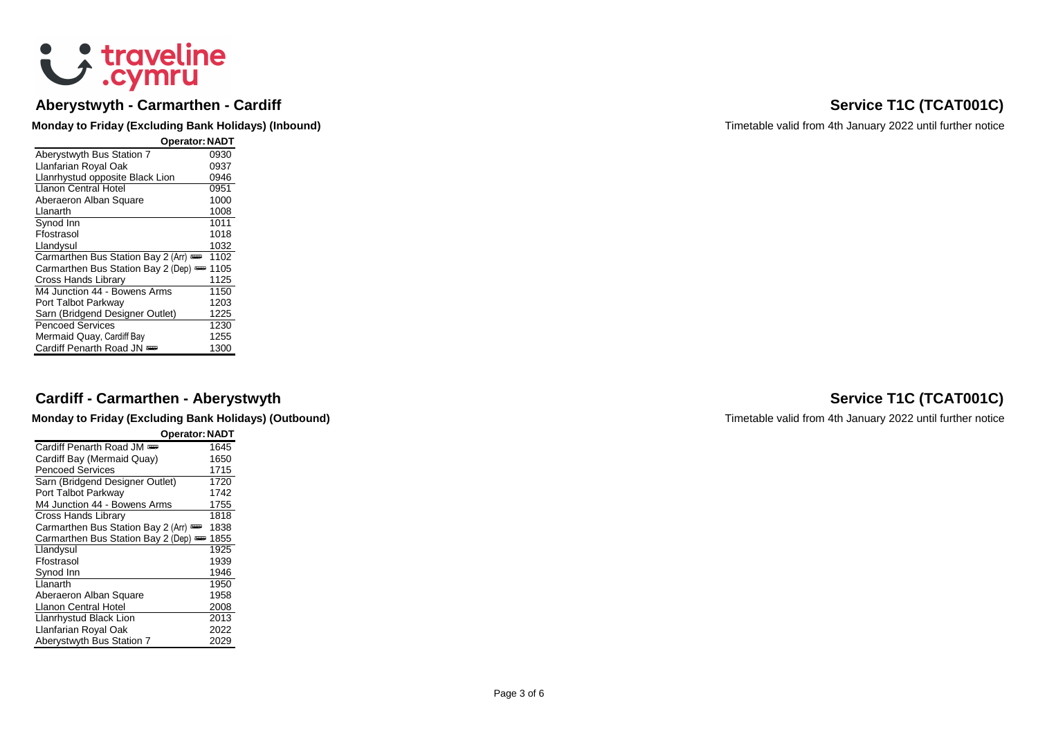# & traveline

### **Aberystwyth - Carmarthen**

| <b>Operator: NADT</b>              |      |
|------------------------------------|------|
| Aberystwyth Bus Station 7          | 0930 |
| Llanfarian Royal Oak               | 0937 |
| Llanrhystud opposite Black Lion    | 0946 |
| <b>Llanon Central Hotel</b>        | 0951 |
| Aberaeron Alban Square             | 1000 |
| Llanarth                           | 1008 |
| Synod Inn                          | 1011 |
| Ffostrasol                         | 1018 |
| Llandysul                          | 1032 |
| Carmarthen Bus Station Bay 2 (Arr) | 1102 |
| Carmarthen Bus Station Bay 2 (Dep) | 1105 |
| Cross Hands Library                | 1125 |
| M4 Junction 44 - Bowens Arms       | 1150 |
| Port Talbot Parkway                | 1203 |
| Sarn (Bridgend Designer Outlet)    | 1225 |
| <b>Pencoed Services</b>            | 1230 |
| Mermaid Quay, Cardiff Bay          | 1255 |
| Cardiff Penarth Road JN            | 1300 |

### **Cardiff - Carmarthen**

**Monday to Friday (Excluding Bank Holidays) (Outbound) Timetable valid from 4th January 2022 until further notice** 

| <b>Operator: NADT</b>              |      |
|------------------------------------|------|
| Cardiff Penarth Road JM            | 1645 |
| Cardiff Bay (Mermaid Quay)         | 1650 |
| <b>Pencoed Services</b>            | 1715 |
| Sarn (Bridgend Designer Outlet)    | 1720 |
| Port Talbot Parkway                | 1742 |
| M4 Junction 44 - Bowens Arms       | 1755 |
| Cross Hands Library                | 1818 |
| Carmarthen Bus Station Bay 2 (Arr) | 1838 |
| Carmarthen Bus Station Bay 2 (Dep) | 1855 |
| Llandysul                          | 1925 |
| Ffostrasol                         | 1939 |
| Synod Inn                          | 1946 |
| Llanarth                           | 1950 |
| Aberaeron Alban Square             | 1958 |
| <b>Llanon Central Hotel</b>        | 2008 |
| Llanrhystud Black Lion             | 2013 |
| Llanfarian Royal Oak               | 2022 |
| Aberystwyth Bus Station 7          | 2029 |

### **Service T1C (TCAT001C)**

**Monday to Friday (Excluding Bank Holidays) (Inbound)** Monday And Timetable valid from 4th January 2022 until further notice

### **Service T1C (TCAT001C)**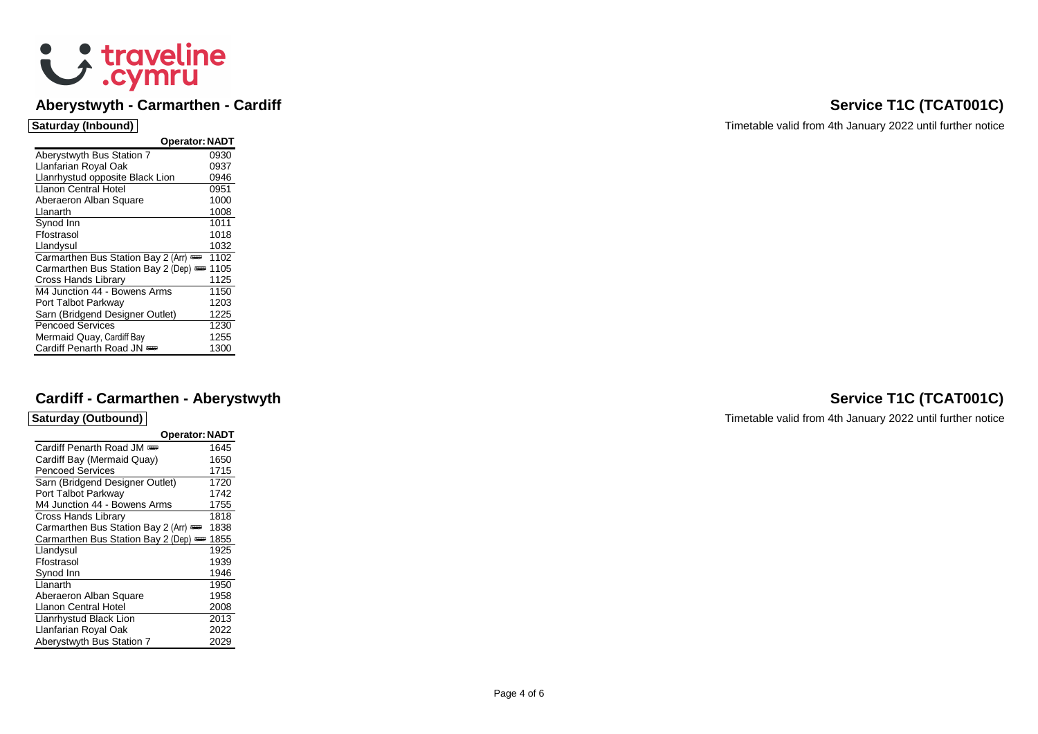

### **Aberystwyth - Carmarthen**

| <b>Operator: NADT</b>              |      |
|------------------------------------|------|
| Aberystwyth Bus Station 7          | 0930 |
| Llanfarian Royal Oak               | 0937 |
| Llanrhystud opposite Black Lion    | 0946 |
| Llanon Central Hotel               | 0951 |
| Aberaeron Alban Square             | 1000 |
| Llanarth                           | 1008 |
| Synod Inn                          | 1011 |
| Ffostrasol                         | 1018 |
| Llandysul                          | 1032 |
| Carmarthen Bus Station Bay 2 (Arr) | 1102 |
| Carmarthen Bus Station Bay 2 (Dep) | 1105 |
| Cross Hands Library                | 1125 |
| M4 Junction 44 - Bowens Arms       | 1150 |
| Port Talbot Parkway                | 1203 |
| Sarn (Bridgend Designer Outlet)    | 1225 |
| <b>Pencoed Services</b>            | 1230 |
| Mermaid Quay, Cardiff Bay          | 1255 |
| Cardiff Penarth Road JN            | 1300 |

### **Cardiff - Carmarthen**

| <b>Operator: NADT</b>              |      |
|------------------------------------|------|
| Cardiff Penarth Road JM            | 1645 |
| Cardiff Bay (Mermaid Quay)         | 1650 |
| <b>Pencoed Services</b>            | 1715 |
| Sarn (Bridgend Designer Outlet)    | 1720 |
| Port Talbot Parkway                | 1742 |
| M4 Junction 44 - Bowens Arms       | 1755 |
| Cross Hands Library                | 1818 |
| Carmarthen Bus Station Bay 2 (Arr) | 1838 |
| Carmarthen Bus Station Bay 2 (Dep) | 1855 |
| Llandysul                          | 1925 |
| Ffostrasol                         | 1939 |
| Synod Inn                          | 1946 |
| Llanarth                           | 1950 |
| Aberaeron Alban Square             | 1958 |
| Llanon Central Hotel               | 2008 |
| Llanrhystud Black Lion             | 2013 |
| Llanfarian Royal Oak               | 2022 |
| Aberystwyth Bus Station 7          | 2029 |

**Service T1C (TCAT001C)** 

**Saturday (Inbound)** Timetable valid from 4th January 2022 until further notice

### **Service T1C (TCAT001C)**

**Saturday (Outbound)** Timetable valid from 4th January 2022 until further notice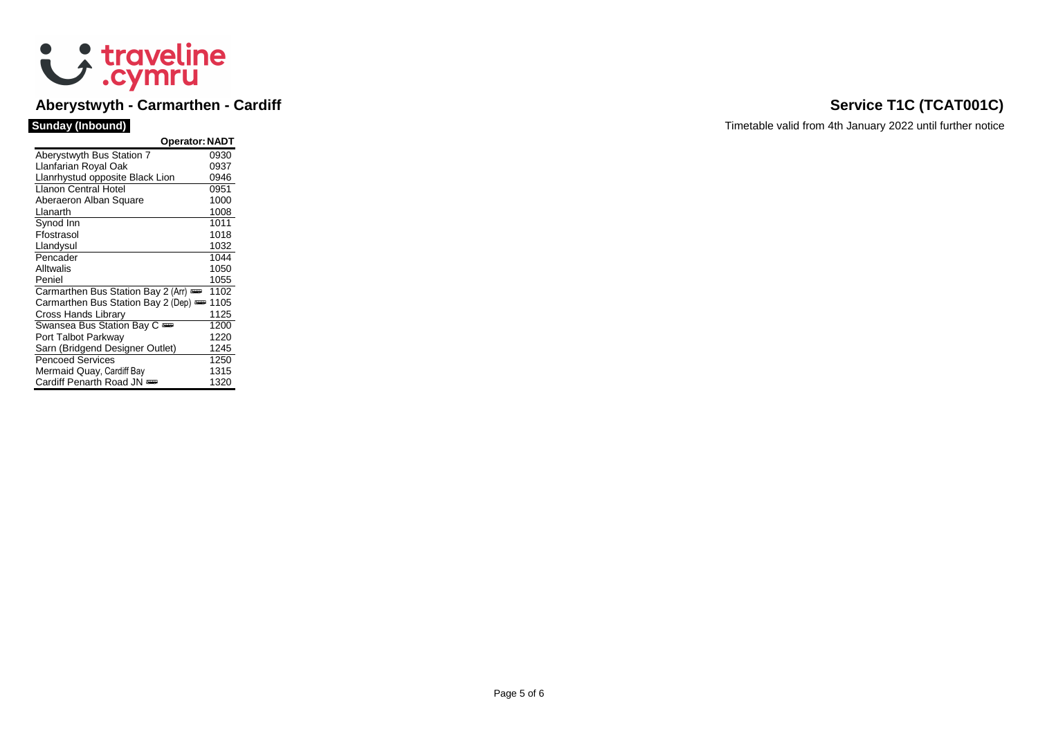

# **Aberystwyth - Carmarthen - Cardiff Service T1C (TCAT001C)**

| <b>Operator: NADT</b>              |      |
|------------------------------------|------|
| Aberystwyth Bus Station 7          | 0930 |
| Llanfarian Royal Oak               | 0937 |
| Llanrhystud opposite Black Lion    | 0946 |
| Llanon Central Hotel               | 0951 |
| Aberaeron Alban Square             | 1000 |
| Llanarth                           | 1008 |
| Synod Inn                          | 1011 |
| Ffostrasol                         | 1018 |
| Llandysul                          | 1032 |
| Pencader                           | 1044 |
| Alltwalis                          | 1050 |
| Peniel                             | 1055 |
| Carmarthen Bus Station Bay 2 (Arr) | 1102 |
| Carmarthen Bus Station Bay 2 (Dep) | 1105 |
| Cross Hands Library                | 1125 |
| Swansea Bus Station Bay C          | 1200 |
| Port Talbot Parkway                | 1220 |
| Sarn (Bridgend Designer Outlet)    | 1245 |
| <b>Pencoed Services</b>            | 1250 |
| Mermaid Quay, Cardiff Bay          | 1315 |
| Cardiff Penarth Road JN            | 1320 |

**Sunday (Inbound)** Timetable valid from 4th January 2022 until further notice